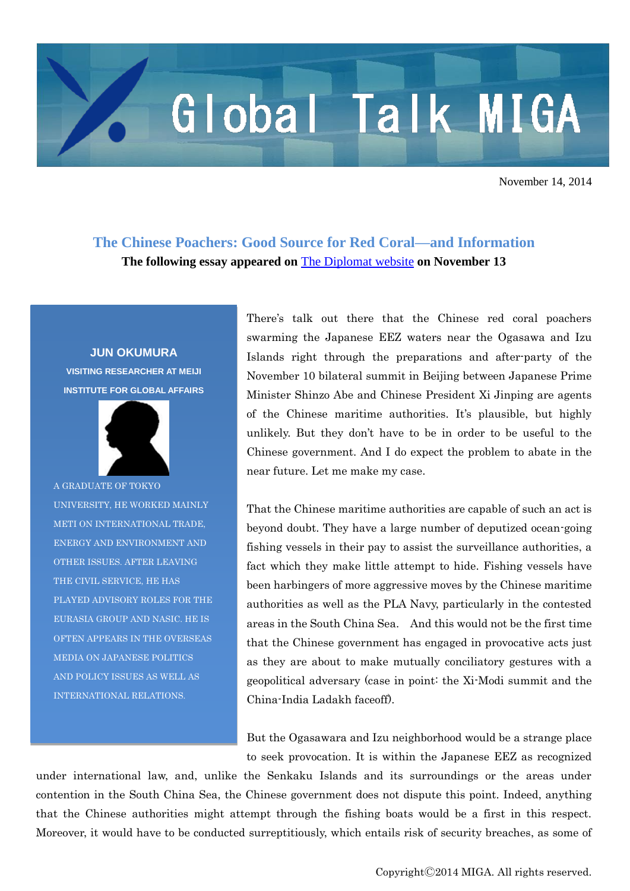## Global Talk MIGA

November 14, 2014

**The Chinese Poachers: Good Source for Red Coral—and Information The following essay appeared on** [The Diplomat website](http://thediplomat.com/) **on November 13**

## **JUN OKUMURA**

**VISITING RESEARCHER AT MEIJI INSTITUTE FOR GLOBAL AFFAIRS**



A GRADUATE OF TOKYO UNIVERSITY, HE WORKED MAINLY METI ON INTERNATIONAL TRADE, ENERGY AND ENVIRONMENT AND OTHER ISSUES. AFTER LEAVING THE CIVIL SERVICE, HE HAS PLAYED ADVISORY ROLES FOR THE EURASIA GROUP AND NASIC. HE IS OFTEN APPEARS IN THE OVERSEAS MEDIA ON JAPANESE POLITICS AND POLICY ISSUES AS WELL AS INTERNATIONAL RELATIONS.

There's talk out there that the Chinese red coral poachers swarming the Japanese EEZ waters near the Ogasawa and Izu Islands right through the preparations and after-party of the November 10 bilateral summit in Beijing between Japanese Prime Minister Shinzo Abe and Chinese President Xi Jinping are agents of the Chinese maritime authorities. It's plausible, but highly unlikely. But they don't have to be in order to be useful to the Chinese government. And I do expect the problem to abate in the near future. Let me make my case.

That the Chinese maritime authorities are capable of such an act is beyond doubt. They have a large number of deputized ocean-going fishing vessels in their pay to assist the surveillance authorities, a fact which they make little attempt to hide. Fishing vessels have been harbingers of more aggressive moves by the Chinese maritime authorities as well as the PLA Navy, particularly in the contested areas in the South China Sea. And this would not be the first time that the Chinese government has engaged in provocative acts just as they are about to make mutually conciliatory gestures with a geopolitical adversary (case in point: the Xi-Modi summit and the China-India Ladakh faceoff).

But the Ogasawara and Izu neighborhood would be a strange place to seek provocation. It is within the Japanese EEZ as recognized

under international law, and, unlike the Senkaku Islands and its surroundings or the areas under contention in the South China Sea, the Chinese government does not dispute this point. Indeed, anything that the Chinese authorities might attempt through the fishing boats would be a first in this respect. Moreover, it would have to be conducted surreptitiously, which entails risk of security breaches, as some of